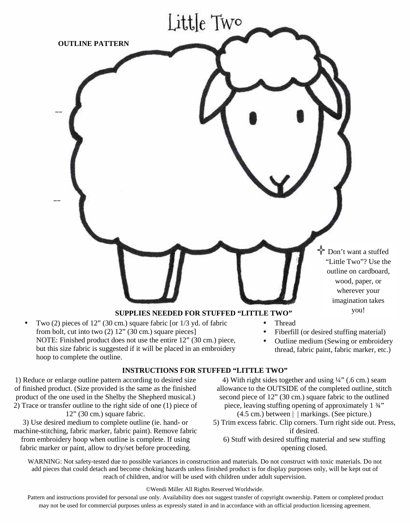

- Two (2) pieces of 12" (30 cm.) square fabric [or 1/3 yd. of fabric from bolt, cut into two (2) 12" (30 cm.) square pieces] NOTE: Finished product does not use the entire 12" (30 cm.) piece, but this size fabric is suggested if it will be placed in an embroidery hoop to complete the outline.
- Thread
- Fiberfill (or desired stuffing material)
- Outline medium (Sewing or embroidery thread, fabric paint, fabric marker, etc.)

#### **INSTRUCTIONS FOR STUFFED "LITTLE TWO"**

1) Reduce or enlarge outline pattern according to desired size of finished product. (Size provided is the same as the finished product of the one used in the Shelby the Shepherd musical.) 2) Trace or transfer outline to the right side of one (1) piece of 12" (30 cm.) square fabric.

3) Use desired medium to complete outline (ie. hand- or machine-stitching, fabric marker, fabric paint). Remove fabric from embroidery hoop when outline is complete. If using fabric marker or paint, allow to dry/set before proceeding.

4) With right sides together and using  $\frac{1}{4}$  (.6 cm.) seam allowance to the OUTSIDE of the completed outline, stitch second piece of 12" (30 cm.) square fabric to the outlined piece, leaving stuffing opening of approximately 1 ¾" (4.5 cm.) between | | markings. (See picture.)

- 5) Trim excess fabric. Clip corners. Turn right side out. Press, if desired.
	- 6) Stuff with desired stuffing material and sew stuffing opening closed.

WARNING: Not safety-tested due to possible variances in construction and materials. Do not construct with toxic materials. Do not add pieces that could detach and become choking hazards unless finished product is for display purposes only, will be kept out of reach of children, and/or will be used with children under adult supervision.

#### ©Wendi Miller All Rights Reserved Worldwide.

Pattern and instructions provided for personal use only. Availability does not suggest transfer of copyright ownership. Pattern or completed product may not be used for commercial purposes unless as expressly stated in and in accordance with an official production licensing agreement.